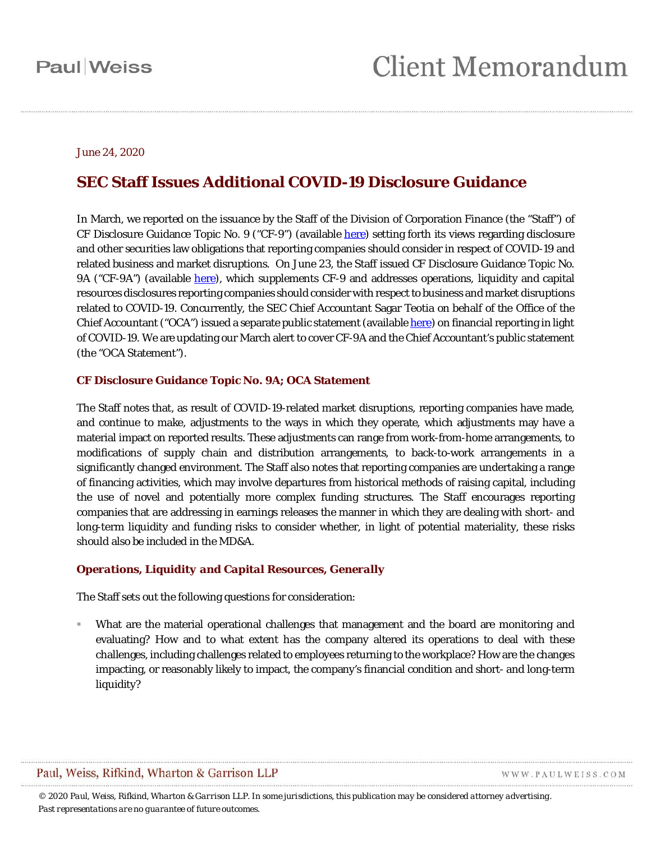#### June 24, 2020

### **SEC Staff Issues Additional COVID-19 Disclosure Guidance**

In March, we reported on the issuance by the Staff of the Division of Corporation Finance (the "Staff") of CF Disclosure Guidance Topic No. 9 ("CF-9") (available [here\)](https://www.sec.gov/corpfin/coronavirus-covid-19) setting forth its views regarding disclosure and other securities law obligations that reporting companies should consider in respect of COVID-19 and related business and market disruptions. On June 23, the Staff issued CF Disclosure Guidance Topic No. 9A ("CF-9A") (available [here\)](https://www.sec.gov/corpfin/covid-19-disclosure-considerations), which supplements CF-9 and addresses operations, liquidity and capital resources disclosures reporting companies should consider with respect to business and market disruptions related to COVID-19. Concurrently, the SEC Chief Accountant Sagar Teotia on behalf of the Office of the Chief Accountant ("OCA") issued a separate public statement (available [here\)](https://www.sec.gov/news/public-statement/teotia-financial-reporting-covid-19-2020-06-23) on financial reporting in light of COVID-19. We are updating our March alert to cover CF-9A and the Chief Accountant's public statement (the "OCA Statement").

#### **CF Disclosure Guidance Topic No. 9A; OCA Statement**

The Staff notes that, as result of COVID-19-related market disruptions, reporting companies have made, and continue to make, adjustments to the ways in which they operate, which adjustments may have a material impact on reported results. These adjustments can range from work-from-home arrangements, to modifications of supply chain and distribution arrangements, to back-to-work arrangements in a significantly changed environment. The Staff also notes that reporting companies are undertaking a range of financing activities, which may involve departures from historical methods of raising capital, including the use of novel and potentially more complex funding structures. The Staff encourages reporting companies that are addressing in earnings releases the manner in which they are dealing with short- and long-term liquidity and funding risks to consider whether, in light of potential materiality, these risks should also be included in the MD&A.

#### *Operations, Liquidity and Capital Resources, Generally*

The Staff sets out the following questions for consideration:

 What are the material operational challenges that management and the board are monitoring and evaluating? How and to what extent has the company altered its operations to deal with these challenges, including challenges related to employees returning to the workplace? How are the changes impacting, or reasonably likely to impact, the company's financial condition and short- and long-term liquidity?

### Paul, Weiss, Rifkind, Wharton & Garrison LLP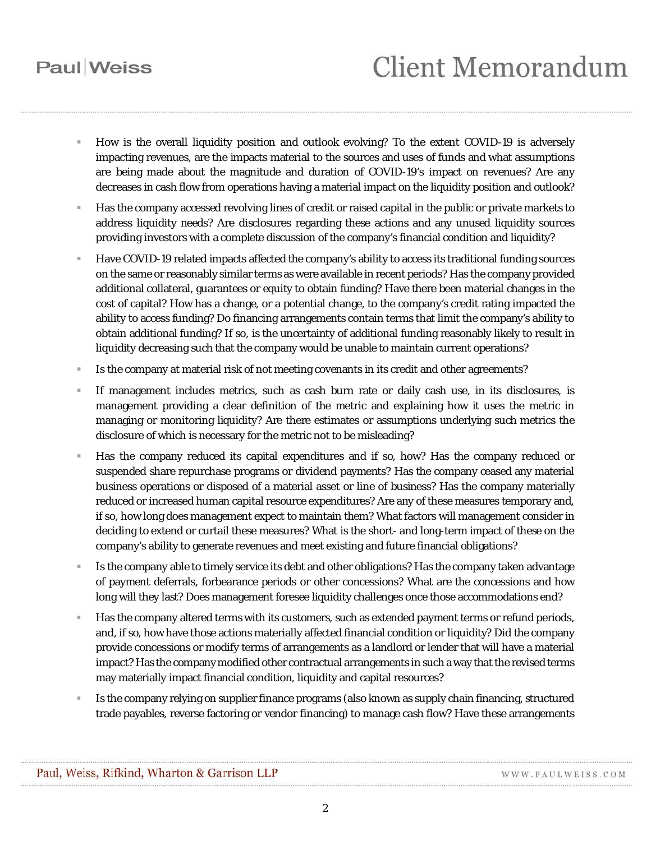# **Client Memorandum**

- How is the overall liquidity position and outlook evolving? To the extent COVID-19 is adversely impacting revenues, are the impacts material to the sources and uses of funds and what assumptions are being made about the magnitude and duration of COVID-19's impact on revenues? Are any decreases in cash flow from operations having a material impact on the liquidity position and outlook?
- Has the company accessed revolving lines of credit or raised capital in the public or private markets to address liquidity needs? Are disclosures regarding these actions and any unused liquidity sources providing investors with a complete discussion of the company's financial condition and liquidity?
- Have COVID-19 related impacts affected the company's ability to access its traditional funding sources on the same or reasonably similar terms as were available in recent periods? Has the company provided additional collateral, guarantees or equity to obtain funding? Have there been material changes in the cost of capital? How has a change, or a potential change, to the company's credit rating impacted the ability to access funding? Do financing arrangements contain terms that limit the company's ability to obtain additional funding? If so, is the uncertainty of additional funding reasonably likely to result in liquidity decreasing such that the company would be unable to maintain current operations?
- Is the company at material risk of not meeting covenants in its credit and other agreements?
- If management includes metrics, such as cash burn rate or daily cash use, in its disclosures, is management providing a clear definition of the metric and explaining how it uses the metric in managing or monitoring liquidity? Are there estimates or assumptions underlying such metrics the disclosure of which is necessary for the metric not to be misleading?
- Has the company reduced its capital expenditures and if so, how? Has the company reduced or suspended share repurchase programs or dividend payments? Has the company ceased any material business operations or disposed of a material asset or line of business? Has the company materially reduced or increased human capital resource expenditures? Are any of these measures temporary and, if so, how long does management expect to maintain them? What factors will management consider in deciding to extend or curtail these measures? What is the short- and long-term impact of these on the company's ability to generate revenues and meet existing and future financial obligations?
- Is the company able to timely service its debt and other obligations? Has the company taken advantage of payment deferrals, forbearance periods or other concessions? What are the concessions and how long will they last? Does management foresee liquidity challenges once those accommodations end?
- Has the company altered terms with its customers, such as extended payment terms or refund periods, and, if so, how have those actions materially affected financial condition or liquidity? Did the company provide concessions or modify terms of arrangements as a landlord or lender that will have a material impact? Has the company modified other contractual arrangements in such a way that the revised terms may materially impact financial condition, liquidity and capital resources?
- Is the company relying on supplier finance programs (also known as supply chain financing, structured trade payables, reverse factoring or vendor financing) to manage cash flow? Have these arrangements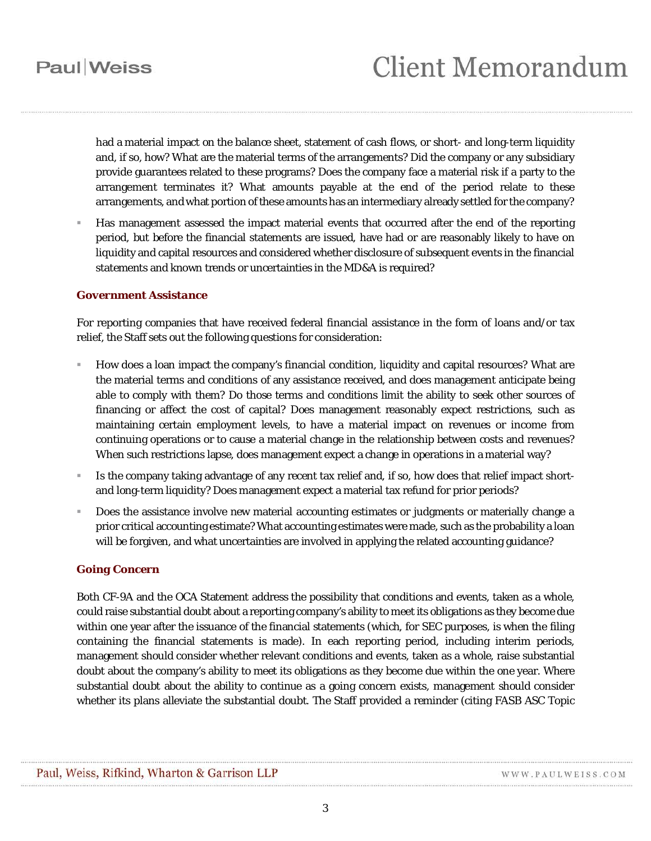## **Client Memorandum**

had a material impact on the balance sheet, statement of cash flows, or short- and long-term liquidity and, if so, how? What are the material terms of the arrangements? Did the company or any subsidiary provide guarantees related to these programs? Does the company face a material risk if a party to the arrangement terminates it? What amounts payable at the end of the period relate to these arrangements, and what portion of these amounts has an intermediary already settled for the company?

 Has management assessed the impact material events that occurred after the end of the reporting period, but before the financial statements are issued, have had or are reasonably likely to have on liquidity and capital resources and considered whether disclosure of subsequent events in the financial statements and known trends or uncertainties in the MD&A is required?

#### *Government Assistance*

For reporting companies that have received federal financial assistance in the form of loans and/or tax relief, the Staff sets out the following questions for consideration:

- How does a loan impact the company's financial condition, liquidity and capital resources? What are the material terms and conditions of any assistance received, and does management anticipate being able to comply with them? Do those terms and conditions limit the ability to seek other sources of financing or affect the cost of capital? Does management reasonably expect restrictions, such as maintaining certain employment levels, to have a material impact on revenues or income from continuing operations or to cause a material change in the relationship between costs and revenues? When such restrictions lapse, does management expect a change in operations in a material way?
- Is the company taking advantage of any recent tax relief and, if so, how does that relief impact shortand long-term liquidity? Does management expect a material tax refund for prior periods?
- Does the assistance involve new material accounting estimates or judgments or materially change a prior critical accounting estimate? What accounting estimates were made, such as the probability a loan will be forgiven, and what uncertainties are involved in applying the related accounting guidance?

#### *Going Concern*

Both CF-9A and the OCA Statement address the possibility that conditions and events, taken as a whole, could raise substantial doubt about a reporting company's ability to meet its obligations as they become due within one year after the issuance of the financial statements (which, for SEC purposes, is when the filing containing the financial statements is made). In each reporting period, including interim periods, management should consider whether relevant conditions and events, taken as a whole, raise substantial doubt about the company's ability to meet its obligations as they become due within the one year. Where substantial doubt about the ability to continue as a going concern exists, management should consider whether its plans alleviate the substantial doubt. The Staff provided a reminder (citing FASB ASC Topic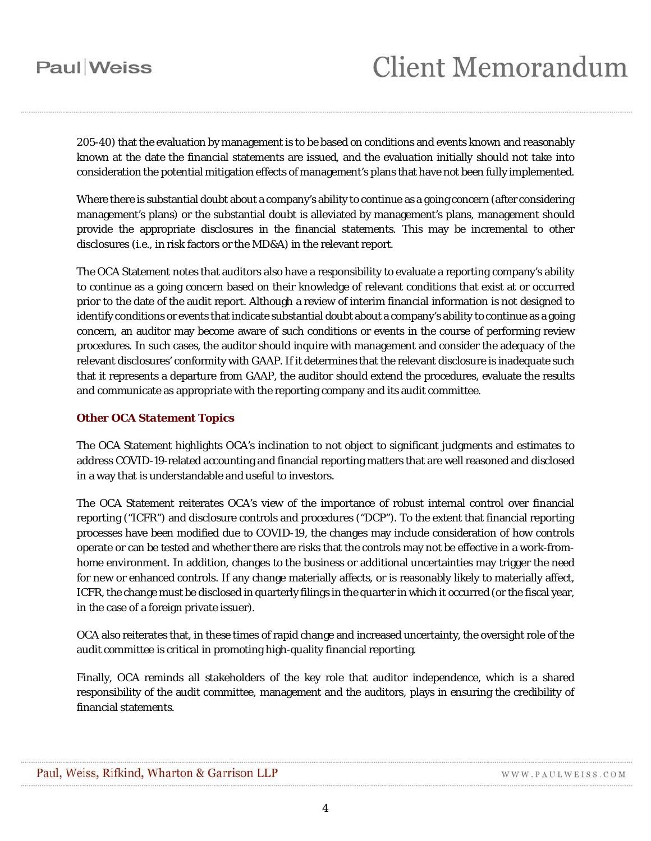# **Client Memorandum**

205-40) that the evaluation by management is to be based on conditions and events known and reasonably known at the date the financial statements are issued, and the evaluation initially should not take into consideration the potential mitigation effects of management's plans that have not been fully implemented.

Where there is substantial doubt about a company's ability to continue as a going concern (after considering management's plans) or the substantial doubt is alleviated by management's plans, management should provide the appropriate disclosures in the financial statements. This may be incremental to other disclosures (*i.e.,* in risk factors or the MD&A) in the relevant report.

The OCA Statement notes that auditors also have a responsibility to evaluate a reporting company's ability to continue as a going concern based on their knowledge of relevant conditions that exist at or occurred prior to the date of the audit report. Although a review of interim financial information is not designed to identify conditions or events that indicate substantial doubt about a company's ability to continue as a going concern, an auditor may become aware of such conditions or events in the course of performing review procedures. In such cases, the auditor should inquire with management and consider the adequacy of the relevant disclosures' conformity with GAAP. If it determines that the relevant disclosure is inadequate such that it represents a departure from GAAP, the auditor should extend the procedures, evaluate the results and communicate as appropriate with the reporting company and its audit committee.

### *Other OCA Statement Topics*

The OCA Statement highlights OCA's inclination to not object to significant judgments and estimates to address COVID-19-related accounting and financial reporting matters that are well reasoned and disclosed in a way that is understandable and useful to investors.

The OCA Statement reiterates OCA's view of the importance of robust internal control over financial reporting ("ICFR") and disclosure controls and procedures ("DCP"). To the extent that financial reporting processes have been modified due to COVID-19, the changes may include consideration of how controls operate or can be tested and whether there are risks that the controls may not be effective in a work-fromhome environment. In addition, changes to the business or additional uncertainties may trigger the need for new or enhanced controls. If any change materially affects, or is reasonably likely to materially affect, ICFR, the change must be disclosed in quarterly filings in the quarter in which it occurred (or the fiscal year, in the case of a foreign private issuer).

OCA also reiterates that, in these times of rapid change and increased uncertainty, the oversight role of the audit committee is critical in promoting high-quality financial reporting.

Finally, OCA reminds all stakeholders of the key role that auditor independence, which is a shared responsibility of the audit committee, management and the auditors, plays in ensuring the credibility of financial statements.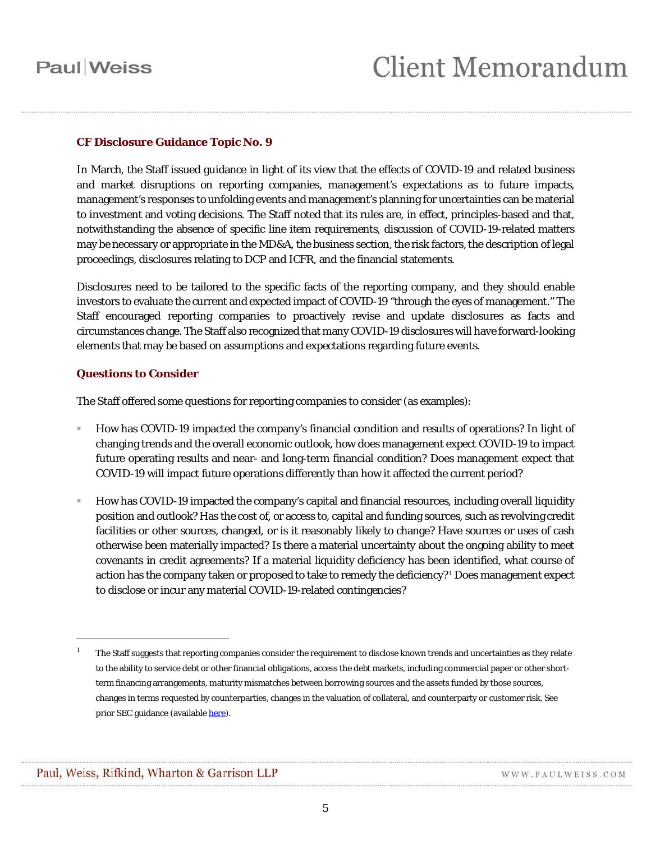### **CF Disclosure Guidance Topic No. 9**

In March, the Staff issued guidance in light of its view that the effects of COVID-19 and related business and market disruptions on reporting companies, management's expectations as to future impacts, management's responses to unfolding events and management's planning for uncertainties can be material to investment and voting decisions. The Staff noted that its rules are, in effect, principles-based and that, notwithstanding the absence of specific line item requirements, discussion of COVID-19-related matters may be necessary or appropriate in the MD&A, the business section, the risk factors, the description of legal proceedings, disclosures relating to DCP and ICFR, and the financial statements.

Disclosures need to be tailored to the specific facts of the reporting company, and they should enable investors to evaluate the current and expected impact of COVID-19 "through the eyes of management." The Staff encouraged reporting companies to proactively revise and update disclosures as facts and circumstances change. The Staff also recognized that many COVID-19 disclosures will have forward-looking elements that may be based on assumptions and expectations regarding future events.

### *Questions to Consider*

The Staff offered some questions for reporting companies to consider (as examples):

- How has COVID-19 impacted the company's financial condition and results of operations? In light of changing trends and the overall economic outlook, how does management expect COVID-19 to impact future operating results and near- and long-term financial condition? Does management expect that COVID-19 will impact future operations differently than how it affected the current period?
- How has COVID-19 impacted the company's capital and financial resources, including overall liquidity position and outlook? Has the cost of, or access to, capital and funding sources, such as revolving credit facilities or other sources, changed, or is it reasonably likely to change? Have sources or uses of cash otherwise been materially impacted? Is there a material uncertainty about the ongoing ability to meet covenants in credit agreements? If a material liquidity deficiency has been identified, what course of action has the company taken or proposed to take to remedy the deficiency?<sup>[1](#page-4-0)</sup> Does management expect to disclose or incur any material COVID-19-related contingencies?

 $\overline{a}$ 

<span id="page-4-0"></span><sup>1</sup> The Staff suggests that reporting companies consider the requirement to disclose known trends and uncertainties as they relate to the ability to service debt or other financial obligations, access the debt markets, including commercial paper or other shortterm financing arrangements, maturity mismatches between borrowing sources and the assets funded by those sources, changes in terms requested by counterparties, changes in the valuation of collateral, and counterparty or customer risk. See prior SEC guidance (availabl[e here\)](https://www.sec.gov/rules/interp/2010/33-9144.pdf).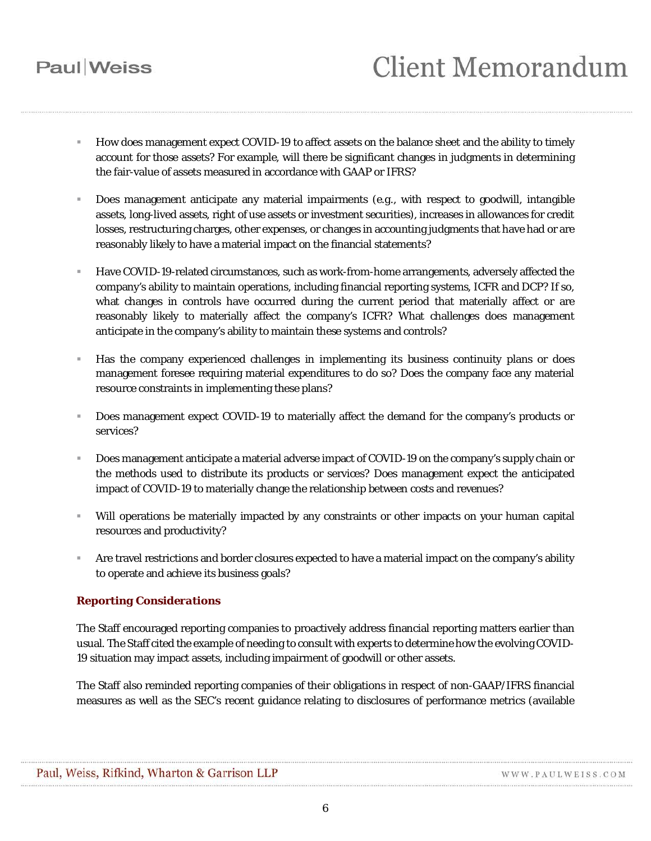- How does management expect COVID-19 to affect assets on the balance sheet and the ability to timely account for those assets? For example, will there be significant changes in judgments in determining the fair-value of assets measured in accordance with GAAP or IFRS?
- Does management anticipate any material impairments (*e.g.*, with respect to goodwill, intangible assets, long-lived assets, right of use assets or investment securities), increases in allowances for credit losses, restructuring charges, other expenses, or changes in accounting judgments that have had or are reasonably likely to have a material impact on the financial statements?
- Have COVID-19-related circumstances, such as work-from-home arrangements, adversely affected the company's ability to maintain operations, including financial reporting systems, ICFR and DCP? If so, what changes in controls have occurred during the current period that materially affect or are reasonably likely to materially affect the company's ICFR? What challenges does management anticipate in the company's ability to maintain these systems and controls?
- Has the company experienced challenges in implementing its business continuity plans or does management foresee requiring material expenditures to do so? Does the company face any material resource constraints in implementing these plans?
- Does management expect COVID-19 to materially affect the demand for the company's products or services?
- Does management anticipate a material adverse impact of COVID-19 on the company's supply chain or the methods used to distribute its products or services? Does management expect the anticipated impact of COVID-19 to materially change the relationship between costs and revenues?
- Will operations be materially impacted by any constraints or other impacts on your human capital resources and productivity?
- Are travel restrictions and border closures expected to have a material impact on the company's ability to operate and achieve its business goals?

### *Reporting Considerations*

The Staff encouraged reporting companies to proactively address financial reporting matters earlier than usual. The Staff cited the example of needing to consult with experts to determine how the evolving COVID-19 situation may impact assets, including impairment of goodwill or other assets.

The Staff also reminded reporting companies of their obligations in respect of non-GAAP/IFRS financial measures as well as the SEC's recent guidance relating to disclosures of performance metrics (available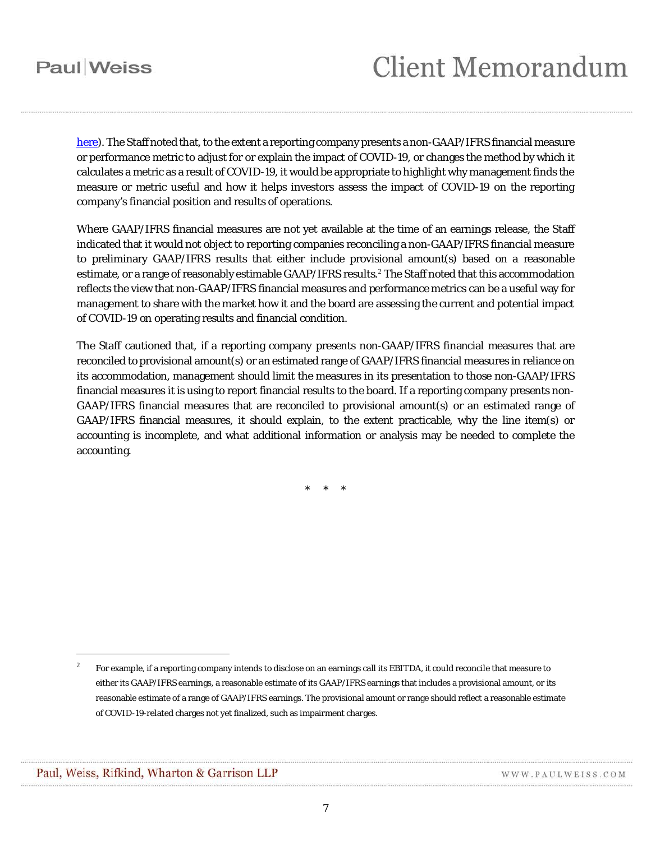## **Client Memorandum**

[here\)](https://www.sec.gov/rules/interp/2020/33-10751.pdf). The Staff noted that, to the extent a reporting company presents a non-GAAP/IFRS financial measure or performance metric to adjust for or explain the impact of COVID-19, or changes the method by which it calculates a metric as a result of COVID-19, it would be appropriate to highlight why management finds the measure or metric useful and how it helps investors assess the impact of COVID-19 on the reporting company's financial position and results of operations.

Where GAAP/IFRS financial measures are not yet available at the time of an earnings release, the Staff indicated that it would not object to reporting companies reconciling a non-GAAP/IFRS financial measure to preliminary GAAP/IFRS results that either include provisional amount(s) based on a reasonable estimate, or a range of reasonably estimable GAAP/IFRS results.<sup>[2](#page-6-0)</sup> The Staff noted that this accommodation reflects the view that non-GAAP/IFRS financial measures and performance metrics can be a useful way for management to share with the market how it and the board are assessing the current and potential impact of COVID-19 on operating results and financial condition.

The Staff cautioned that, if a reporting company presents non-GAAP/IFRS financial measures that are reconciled to provisional amount(s) or an estimated range of GAAP/IFRS financial measures in reliance on its accommodation, management should limit the measures in its presentation to those non-GAAP/IFRS financial measures it is using to report financial results to the board. If a reporting company presents non-GAAP/IFRS financial measures that are reconciled to provisional amount(s) or an estimated range of GAAP/IFRS financial measures, it should explain, to the extent practicable, why the line item(s) or accounting is incomplete, and what additional information or analysis may be needed to complete the accounting.

\* \* \*

 $\overline{a}$ 

<span id="page-6-0"></span> $^{\rm 2}$  For example, if a reporting company intends to disclose on an earnings call its EBITDA, it could reconcile that measure to either its GAAP/IFRS earnings, a reasonable estimate of its GAAP/IFRS earnings that includes a provisional amount, or its reasonable estimate of a range of GAAP/IFRS earnings. The provisional amount or range should reflect a reasonable estimate of COVID-19-related charges not yet finalized, such as impairment charges.